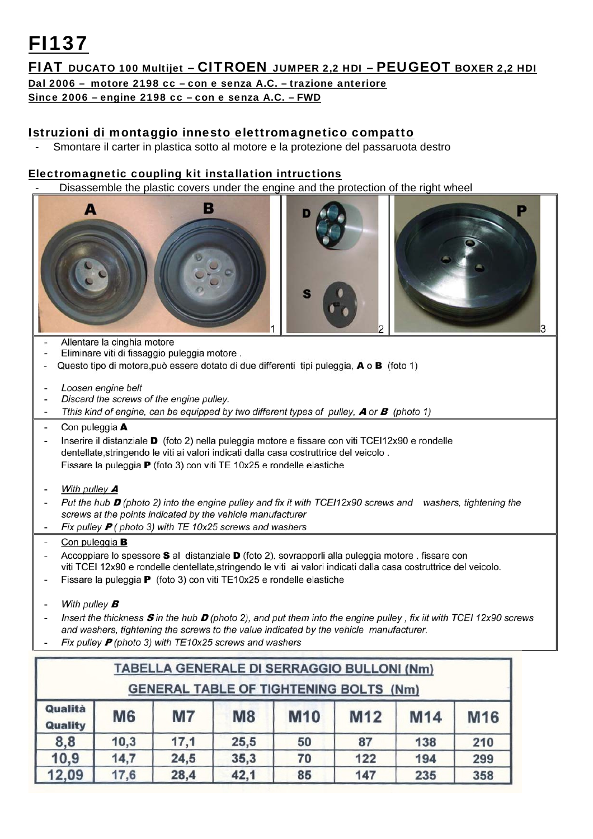## FI137

## FIAT DUCATO 100 Multijet – CITROEN JUMPER 2,2 HDI – PEUGEOT BOXER 2,2 HDI

Dal 2006 – motore 2198 cc – con e senza A.C. – trazione anteriore

Since 2006 – engine 2198 cc – con e senza A.C. – FWD

## Istruzioni di montaggio innesto elettromagnetico compatto

Smontare il carter in plastica sotto al motore e la protezione del passaruota destro

## Electromagnetic coupling kit installation intructions

Disassemble the plastic covers under the engine and the protection of the right wheel



- Allentare la cinghia motore
- $\bar{a}$ Eliminare viti di fissaggio puleggia motore.
- Questo tipo di motore, può essere dotato di due differenti tipi puleggia, A o B (foto 1) i.
- $\overline{a}$ Loosen engine belt
- Discard the screws of the engine pulley. l,
- Tthis kind of engine, can be equipped by two different types of pulley,  $\bm{A}$  or  $\bm{B}$  (photo 1)
- Con puleggia A  $\overline{a}$
- $\overline{a}$ Inserire il distanziale D (foto 2) nella puleggia motore e fissare con viti TCEI12x90 e rondelle dentellate, stringendo le viti ai valori indicati dalla casa costruttrice del veicolo. Fissare la puleggia P (foto 3) con viti TE 10x25 e rondelle elastiche
- $\overline{a}$ With pulley A
- Put the hub  $\bm{D}$  (photo 2) into the engine pulley and fix it with TCE112x90 screws and washers, tightening the l, screws at the points indicated by the vehicle manufacturer Fix pulley  $P$  (photo 3) with TE 10x25 screws and washers  $\overline{\phantom{a}}$
- Con puleggia **B** Ĭ.
- Accoppiare lo spessore S al distanziale D (foto 2), sovrapporli alla puleggia motore, fissare con viti TCEI 12x90 e rondelle dentellate, stringendo le viti ai valori indicati dalla casa costruttrice del veicolo.
- Fissare la puleggia P (foto 3) con viti TE10x25 e rondelle elastiche  $\overline{\phantom{a}}$
- With pulley  $B$ Ĭ.
- Insert the thickness  $\bm{s}$  in the hub  $\bm{D}$  (photo 2), and put them into the engine pulley, fix iit with TCEI 12x90 screws Ĭ, and washers, tightening the screws to the value indicated by the vehicle manufacturer.
- Fix pulley  $P$  (photo 3) with TE10x25 screws and washers

|                                               |           |           |                | TABELLA GENERALE DI SERRAGGIO BULLONI (Nm) |                 |            |     |
|-----------------------------------------------|-----------|-----------|----------------|--------------------------------------------|-----------------|------------|-----|
| <b>GENERAL TABLE OF TIGHTENING BOLTS (Nm)</b> |           |           |                |                                            |                 |            |     |
| Qualità<br><b>Quality</b>                     | <b>M6</b> | <b>M7</b> | M <sub>8</sub> | <b>M10</b>                                 | M <sub>12</sub> | <b>M14</b> | M16 |
| 8,8                                           | 10,3      | 17,1      | 25,5           | 50                                         | 87              | 138        | 210 |
| 10,9                                          | 14,7      | 24,5      | 35,3           | 70                                         | 122             | 194        | 299 |
| 12,09                                         | 17,6      | 28,4      | 42,1           | 85                                         | 147             | 235        | 358 |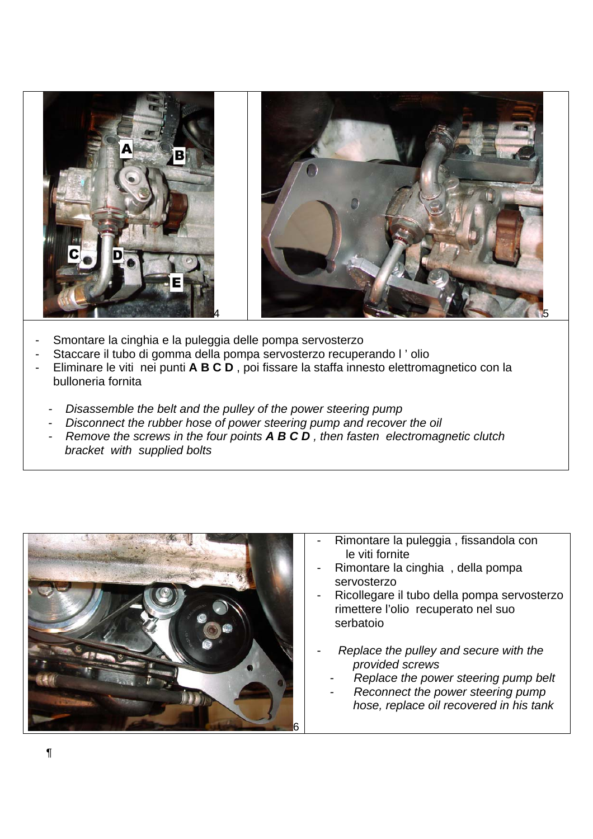

- Smontare la cinghia e la puleggia delle pompa servosterzo
- Staccare il tubo di gomma della pompa servosterzo recuperando l'olio
- Eliminare le viti nei punti **A B C D** , poi fissare la staffa innesto elettromagnetico con la bulloneria fornita
	- **Disassemble the belt and the pulley of the power steering pump**
	- *Disconnect the rubber hose of power steering pump and recover the oil*
	- *Remove the screws in the four points A B C D, then fasten electromagnetic clutch bracket with supplied bolts*



- Rimontare la puleggia, fissandola con le viti fornite
- Rimontare la cinghia, della pompa servosterzo
- Ricollegare il tubo della pompa servosterzo rimettere l'olio recuperato nel suo serbatoio
- *Replace the pulley and secure with the provided screws* 
	- **Replace the power steering pump belt**
	- **Reconnect the power steering pump**  *hose, replace oil recovered in his tank*